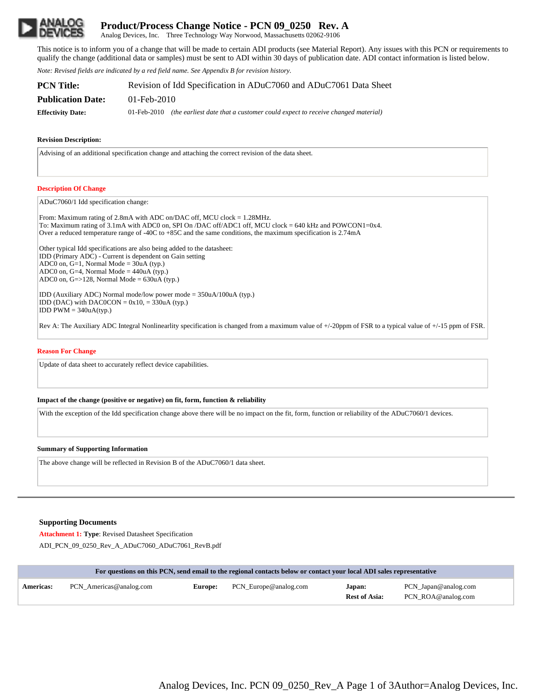

# **Product/Process Change Notice - PCN 09\_0250 Rev. A**

Analog Devices, Inc. Three Technology Way Norwood, Massachusetts 02062-9106

This notice is to inform you of a change that will be made to certain ADI products (see Material Report). Any issues with this PCN or requirements to qualify the change (additional data or samples) must be sent to ADI within 30 days of publication date. ADI contact information is listed below.

*Note: Revised fields are indicated by a red field name. See Appendix B for revision history.*

| PCN Title:               | Revision of Idd Specification in ADuC7060 and ADuC7061 Data Sheet                           |  |  |  |
|--------------------------|---------------------------------------------------------------------------------------------|--|--|--|
| <b>Publication Date:</b> | 01-Feb-2010                                                                                 |  |  |  |
| <b>Effectivity Date:</b> | $01$ -Feb-2010 (the earliest date that a customer could expect to receive changed material) |  |  |  |

## **Revision Description:**

Advising of an additional specification change and attaching the correct revision of the data sheet.

## **Description Of Change**

ADuC7060/1 Idd specification change:

From: Maximum rating of 2.8mA with ADC on/DAC off, MCU clock = 1.28MHz. To: Maximum rating of 3.1mA with ADC0 on, SPI On /DAC off/ADC1 off, MCU clock = 640 kHz and POWCON1=0x4. Over a reduced temperature range of -40C to +85C and the same conditions, the maximum specification is 2.74mA

Other typical Idd specifications are also being added to the datasheet: IDD (Primary ADC) - Current is dependent on Gain setting ADC0 on, G=1, Normal Mode = 30uA (typ.) ADC0 on, G=4, Normal Mode =  $440uA$  (typ.) ADC0 on,  $G = > 128$ , Normal Mode =  $630uA$  (typ.)

IDD (Auxiliary ADC) Normal mode/low power mode = 350uA/100uA (typ.) IDD (DAC) with DAC0CON =  $0x10$ , = 330uA (typ.)  $IDD PWM = 340uA(typ.)$ 

Rev A: The Auxiliary ADC Integral Nonlinearlity specification is changed from a maximum value of +/-20ppm of FSR to a typical value of +/-15 ppm of FSR.

### **Reason For Change**

Update of data sheet to accurately reflect device capabilities.

#### **Impact of the change (positive or negative) on fit, form, function & reliability**

With the exception of the Idd specification change above there will be no impact on the fit, form, function or reliability of the ADuC7060/1 devices.

#### **Summary of Supporting Information**

The above change will be reflected in Revision B of the ADuC7060/1 data sheet.

# **Supporting Documents**

**Attachment 1: Type**: Revised Datasheet Specification ADI\_PCN\_09\_0250\_Rev\_A\_ADuC7060\_ADuC7061\_RevB.pdf

|                  | For questions on this PCN, send email to the regional contacts below or contact your local ADI sales representative |  |                                      |                                |                                            |  |  |  |
|------------------|---------------------------------------------------------------------------------------------------------------------|--|--------------------------------------|--------------------------------|--------------------------------------------|--|--|--|
| <b>Americas:</b> | PCN Americas@analog.com                                                                                             |  | <b>Europe:</b> PCN_Europe@analog.com | Japan:<br><b>Rest of Asia:</b> | PCN_Japan@analog.com<br>PCN ROA@analog.com |  |  |  |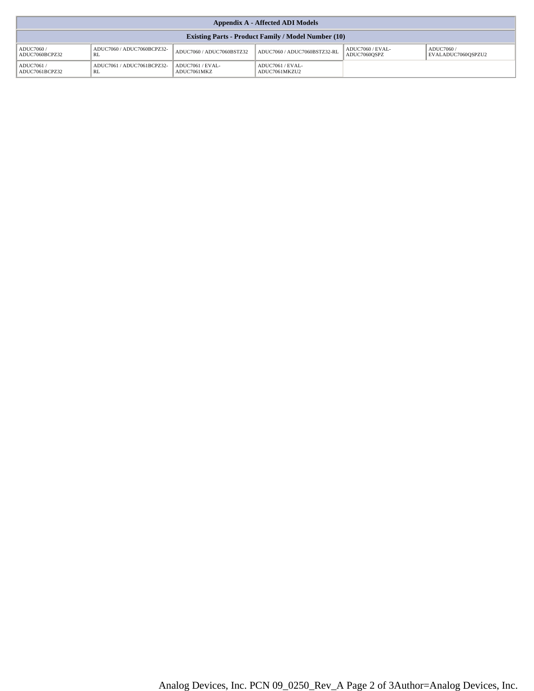| <b>Appendix A - Affected ADI Models</b>                    |                                  |                                 |                                   |                                  |                                  |  |  |
|------------------------------------------------------------|----------------------------------|---------------------------------|-----------------------------------|----------------------------------|----------------------------------|--|--|
| <b>Existing Parts - Product Family / Model Number (10)</b> |                                  |                                 |                                   |                                  |                                  |  |  |
| ADUC7060 /<br>ADUC7060BCPZ32                               | ADUC7060 / ADUC7060BCPZ32-<br>RL | ADUC7060 / ADUC7060BSTZ32       | ADUC7060 / ADUC7060BSTZ32-RL      | ADUC7060 / EVAL-<br>ADUC7060OSPZ | ADUC7060 /<br>EVALADUC7060OSPZU2 |  |  |
| ADUC7061/<br>ADUC7061BCPZ32                                | ADUC7061 / ADUC7061BCPZ32-<br>RL | ADUC7061 / EVAL-<br>ADUC7061MKZ | ADUC7061 / EVAL-<br>ADUC7061MKZU2 |                                  |                                  |  |  |